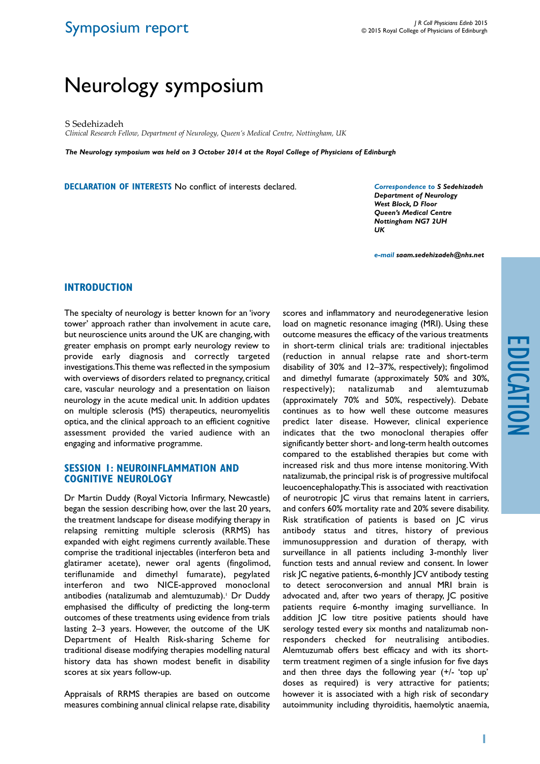# Symposium report

# Neurology symposium

S Sedehizadeh

*Clinical Research Fellow, Department of Neurology, Queen's Medical Centre, Nottingham, UK*

*The Neurology symposium was held on 3 October 2014 at the Royal College of Physicians of Edinburgh*

**DECLARATION OF INTERESTS** No conflict of interests declared.

*Correspondence to S Sedehizadeh Department of Neurology West Block, D Floor Queen's Medical Centre Nottingham NG7 2UH UK*

*e-mail saam.sedehizadeh@nhs.net*

#### **INTRODUCTION**

The specialty of neurology is better known for an 'ivory tower' approach rather than involvement in acute care, but neuroscience units around the UK are changing, with greater emphasis on prompt early neurology review to provide early diagnosis and correctly targeted investigations. This theme was reflected in the symposium with overviews of disorders related to pregnancy, critical care, vascular neurology and a presentation on liaison neurology in the acute medical unit. In addition updates on multiple sclerosis (MS) therapeutics, neuromyelitis optica, and the clinical approach to an efficient cognitive assessment provided the varied audience with an engaging and informative programme.

#### **SESSION 1: Neuroinflammation and cognitive neurology**

Dr Martin Duddy (Royal Victoria Infirmary, Newcastle) began the session describing how, over the last 20 years, the treatment landscape for disease modifying therapy in relapsing remitting multiple sclerosis (RRMS) has expanded with eight regimens currently available. These comprise the traditional injectables (interferon beta and glatiramer acetate), newer oral agents (fingolimod, teriflunamide and dimethyl fumarate), pegylated interferon and two NICE-approved monoclonal antibodies (natalizumab and alemtuzumab).<sup>1</sup> Dr Duddy emphasised the difficulty of predicting the long-term outcomes of these treatments using evidence from trials lasting 2–3 years. However, the outcome of the UK Department of Health Risk-sharing Scheme for traditional disease modifying therapies modelling natural history data has shown modest benefit in disability scores at six years follow-up.

Appraisals of RRMS therapies are based on outcome measures combining annual clinical relapse rate, disability

scores and inflammatory and neurodegenerative lesion load on magnetic resonance imaging (MRI). Using these outcome measures the efficacy of the various treatments in short-term clinical trials are: traditional injectables (reduction in annual relapse rate and short-term disability of 30% and 12–37%, respectively); fingolimod and dimethyl fumarate (approximately 50% and 30%, respectively); natalizumab and alemtuzumab (approximately 70% and 50%, respectively). Debate continues as to how well these outcome measures predict later disease. However, clinical experience indicates that the two monoclonal therapies offer significantly better short- and long-term health outcomes compared to the established therapies but come with increased risk and thus more intense monitoring. With natalizumab, the principal risk is of progressive multifocal leucoencephalopathy. This is associated with reactivation of neurotropic JC virus that remains latent in carriers, and confers 60% mortality rate and 20% severe disability. Risk stratification of patients is based on JC virus antibody status and titres, history of previous immunosuppression and duration of therapy, with surveillance in all patients including 3-monthly liver function tests and annual review and consent. In lower risk JC negative patients, 6-monthly JCV antibody testing to detect seroconversion and annual MRI brain is advocated and, after two years of therapy, JC positive patients require 6-monthy imaging survelliance. In addition JC low titre positive patients should have serology tested every six months and natalizumab nonresponders checked for neutralising antibodies. Alemtuzumab offers best efficacy and with its shortterm treatment regimen of a single infusion for five days and then three days the following year (+/- 'top up' doses as required) is very attractive for patients; however it is associated with a high risk of secondary autoimmunity including thyroiditis, haemolytic anaemia,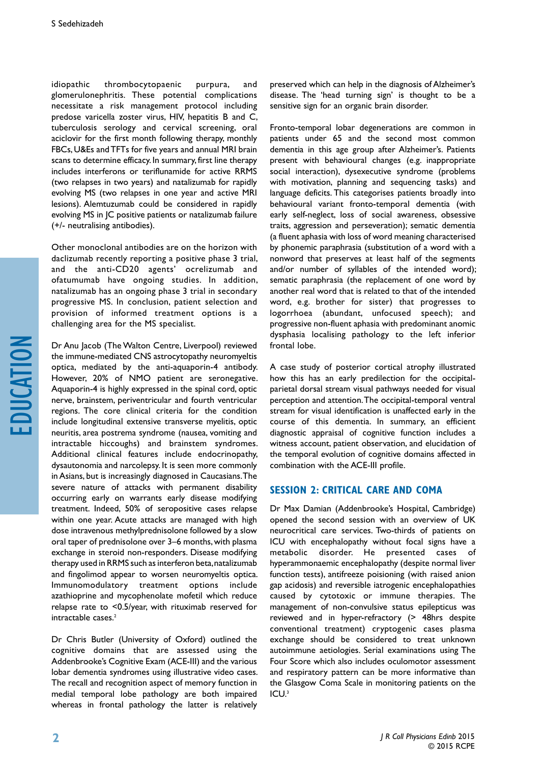idiopathic thrombocytopaenic purpura, and glomerulonephritis. These potential complications necessitate a risk management protocol including predose varicella zoster virus, HIV, hepatitis B and C, tuberculosis serology and cervical screening, oral aciclovir for the first month following therapy, monthly FBCs, U&Es and TFTs for five years and annual MRI brain scans to determine efficacy. In summary, first line therapy includes interferons or teriflunamide for active RRMS (two relapses in two years) and natalizumab for rapidly evolving MS (two relapses in one year and active MRI lesions). Alemtuzumab could be considered in rapidly evolving MS in JC positive patients or natalizumab failure (+/- neutralising antibodies).

Other monoclonal antibodies are on the horizon with daclizumab recently reporting a positive phase 3 trial, and the anti-CD20 agents' ocrelizumab and ofatumumab have ongoing studies. In addition, natalizumab has an ongoing phase 3 trial in secondary progressive MS. In conclusion, patient selection and provision of informed treatment options is a challenging area for the MS specialist.

Dr Anu Jacob (The Walton Centre, Liverpool) reviewed the immune-mediated CNS astrocytopathy neuromyeltis optica, mediated by the anti-aquaporin-4 antibody. However, 20% of NMO patient are seronegative. Aquaporin-4 is highly expressed in the spinal cord, optic nerve, brainstem, periventricular and fourth ventricular regions. The core clinical criteria for the condition include longitudinal extensive transverse myelitis, optic neuritis, area postrema syndrome (nausea, vomiting and intractable hiccoughs) and brainstem syndromes. Additional clinical features include endocrinopathy, dysautonomia and narcolepsy. It is seen more commonly in Asians, but is increasingly diagnosed in Caucasians. The severe nature of attacks with permanent disability occurring early on warrants early disease modifying treatment. Indeed, 50% of seropositive cases relapse within one year. Acute attacks are managed with high dose intravenous methylprednisolone followed by a slow oral taper of prednisolone over 3–6 months, with plasma exchange in steroid non-responders. Disease modifying therapy used in RRMS such as interferon beta, natalizumab and fingolimod appear to worsen neuromyeltis optica. Immunomodulatory treatment options include azathioprine and mycophenolate mofetil which reduce relapse rate to <0.5/year, with rituximab reserved for intractable cases.<sup>2</sup>

Dr Chris Butler (University of Oxford) outlined the cognitive domains that are assessed using the Addenbrooke's Cognitive Exam (ACE-III) and the various lobar dementia syndromes using illustrative video cases. The recall and recognition aspect of memory function in medial temporal lobe pathology are both impaired whereas in frontal pathology the latter is relatively

preserved which can help in the diagnosis of Alzheimer's disease. The 'head turning sign' is thought to be a sensitive sign for an organic brain disorder.

Fronto-temporal lobar degenerations are common in patients under 65 and the second most common dementia in this age group after Alzheimer's. Patients present with behavioural changes (e.g. inappropriate social interaction), dysexecutive syndrome (problems with motivation, planning and sequencing tasks) and language deficits. This categorises patients broadly into behavioural variant fronto-temporal dementia (with early self-neglect, loss of social awareness, obsessive traits, aggression and perseveration); sematic dementia (a fluent aphasia with loss of word meaning characterised by phonemic paraphrasia (substitution of a word with a nonword that preserves at least half of the segments and/or number of syllables of the intended word); sematic paraphrasia (the replacement of one word by another real word that is related to that of the intended word, e.g. brother for sister) that progresses to logorrhoea (abundant, unfocused speech); and progressive non-fluent aphasia with predominant anomic dysphasia localising pathology to the left inferior frontal lobe.

A case study of posterior cortical atrophy illustrated how this has an early predilection for the occipitalparietal dorsal stream visual pathways needed for visual perception and attention. The occipital-temporal ventral stream for visual identification is unaffected early in the course of this dementia. In summary, an efficient diagnostic appraisal of cognitive function includes a witness account, patient observation, and elucidation of the temporal evolution of cognitive domains affected in combination with the ACE-III profile.

#### **SESSION 2: Critical care and coma**

Dr Max Damian (Addenbrooke's Hospital, Cambridge) opened the second session with an overview of UK neurocritical care services. Two-thirds of patients on ICU with encephalopathy without focal signs have a metabolic disorder. He presented cases of hyperammonaemic encephalopathy (despite normal liver function tests), antifreeze poisioning (with raised anion gap acidosis) and reversible iatrogenic encephalopathies caused by cytotoxic or immune therapies. The management of non-convulsive status epilepticus was reviewed and in hyper-refractory (> 48hrs despite conventional treatment) cryptogenic cases plasma exchange should be considered to treat unknown autoimmune aetiologies. Serial examinations using The Four Score which also includes oculomotor assessment and respiratory pattern can be more informative than the Glasgow Coma Scale in monitoring patients on the ICU.3

education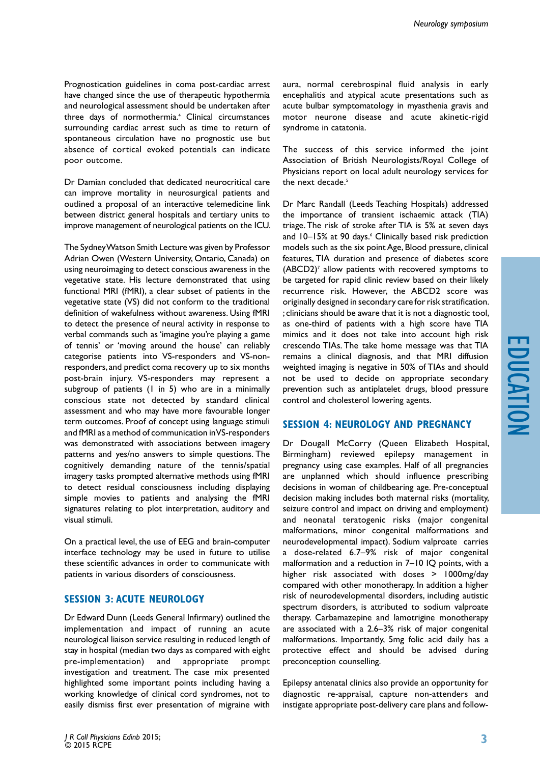Prognostication guidelines in coma post-cardiac arrest have changed since the use of therapeutic hypothermia and neurological assessment should be undertaken after three days of normothermia.<sup>4</sup> Clinical circumstances surrounding cardiac arrest such as time to return of spontaneous circulation have no prognostic use but absence of cortical evoked potentials can indicate poor outcome.

Dr Damian concluded that dedicated neurocritical care can improve mortality in neurosurgical patients and outlined a proposal of an interactive telemedicine link between district general hospitals and tertiary units to improve management of neurological patients on the ICU.

The Sydney Watson Smith Lecture was given by Professor Adrian Owen (Western University, Ontario, Canada) on using neuroimaging to detect conscious awareness in the vegetative state. His lecture demonstrated that using functional MRI (fMRI), a clear subset of patients in the vegetative state (VS) did not conform to the traditional definition of wakefulness without awareness. Using fMRI to detect the presence of neural activity in response to verbal commands such as 'imagine you're playing a game of tennis' or 'moving around the house' can reliably categorise patients into VS-responders and VS-nonresponders, and predict coma recovery up to six months post-brain injury. VS-responders may represent a subgroup of patients (1 in 5) who are in a minimally conscious state not detected by standard clinical assessment and who may have more favourable longer term outcomes. Proof of concept using language stimuli and fMRI as a method of communication in VS-responders was demonstrated with associations between imagery patterns and yes/no answers to simple questions. The cognitively demanding nature of the tennis/spatial imagery tasks prompted alternative methods using fMRI to detect residual consciousness including displaying simple movies to patients and analysing the fMRI signatures relating to plot interpretation, auditory and visual stimuli.

On a practical level, the use of EEG and brain-computer interface technology may be used in future to utilise these scientific advances in order to communicate with patients in various disorders of consciousness.

# **SESSION 3: Acute neurology**

Dr Edward Dunn (Leeds General Infirmary) outlined the implementation and impact of running an acute neurological liaison service resulting in reduced length of stay in hospital (median two days as compared with eight pre-implementation) and appropriate prompt investigation and treatment. The case mix presented highlighted some important points including having a working knowledge of clinical cord syndromes, not to easily dismiss first ever presentation of migraine with

The success of this service informed the joint Association of British Neurologists/Royal College of Physicians report on local adult neurology services for the next decade.<sup>5</sup>

Dr Marc Randall (Leeds Teaching Hospitals) addressed the importance of transient ischaemic attack (TIA) triage. The risk of stroke after TIA is 5% at seven days and 10–15% at 90 days.<sup>6</sup> Clinically based risk prediction models such as the six point Age, Blood pressure, clinical features, TIA duration and presence of diabetes score (ABCD2)<sup>7</sup> allow patients with recovered symptoms to be targeted for rapid clinic review based on their likely recurrence risk. However, the ABCD2 score was originally designed in secondary care for risk stratification. ; clinicians should be aware that it is not a diagnostic tool, as one-third of patients with a high score have TIA mimics and it does not take into account high risk crescendo TIAs. The take home message was that TIA remains a clinical diagnosis, and that MRI diffusion weighted imaging is negative in 50% of TIAs and should not be used to decide on appropriate secondary prevention such as antiplatelet drugs, blood pressure control and cholesterol lowering agents.

# **SESSION 4: Neurology and Pregnancy**

Dr Dougall McCorry (Queen Elizabeth Hospital, Birmingham) reviewed epilepsy management in pregnancy using case examples. Half of all pregnancies are unplanned which should influence prescribing decisions in woman of childbearing age. Pre-conceptual decision making includes both maternal risks (mortality, seizure control and impact on driving and employment) and neonatal teratogenic risks (major congenital malformations, minor congenital malformations and neurodevelopmental impact). Sodium valproate carries a dose-related 6.7–9% risk of major congenital malformation and a reduction in 7–10 IQ points, with a higher risk associated with doses > 1000mg/day compared with other monotherapy. In addition a higher risk of neurodevelopmental disorders, including autistic spectrum disorders, is attributed to sodium valproate therapy. Carbamazepine and lamotrigine monotherapy are associated with a 2.6–3% risk of major congenital malformations. Importantly, 5mg folic acid daily has a protective effect and should be advised during preconception counselling.

Epilepsy antenatal clinics also provide an opportunity for diagnostic re-appraisal, capture non-attenders and instigate appropriate post-delivery care plans and follow-